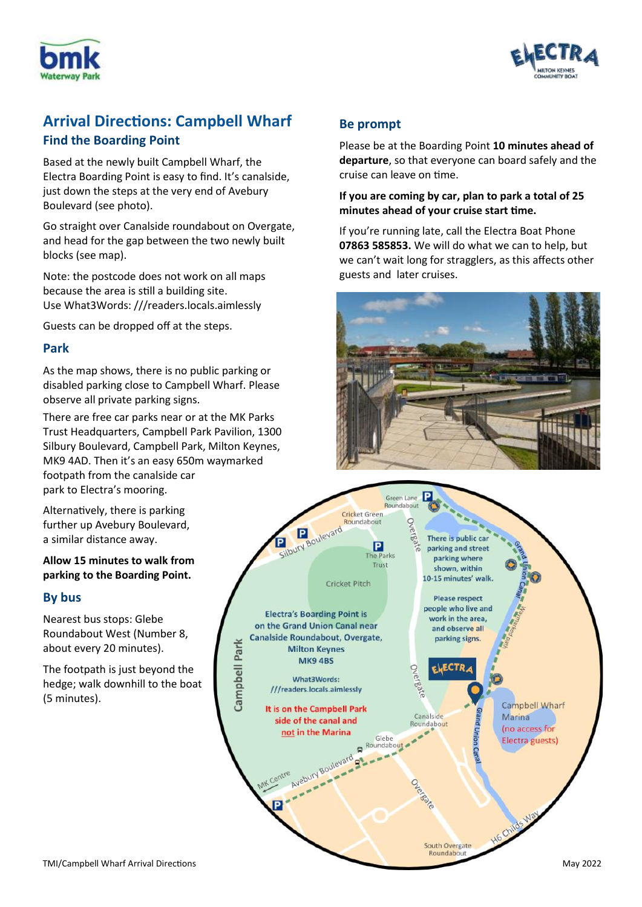



# **Arrival Directions: Campbell Wharf Find the Boarding Point**

Based at the newly built Campbell Wharf, the Electra Boarding Point is easy to find. It's canalside, just down the steps at the very end of Avebury Boulevard (see photo).

Go straight over Canalside roundabout on Overgate, and head for the gap between the two newly built blocks (see map).

Note: the postcode does not work on all maps because the area is still a building site. Use What3Words: ///readers.locals.aimlessly

Guests can be dropped off at the steps.

#### **Park**

As the map shows, there is no public parking or disabled parking close to Campbell Wharf. Please observe all private parking signs.

There are free car parks near or at the MK Parks Trust Headquarters, Campbell Park Pavilion, 1300 Silbury Boulevard, Campbell Park, Milton Keynes, MK9 4AD. Then it's an easy 650m waymarked footpath from the canalside car park to Electra's mooring.

Alternatively, there is parking further up Avebury Boulevard, a similar distance away.

**Allow 15 minutes to walk from parking to the Boarding Point.**

## **By bus**

Nearest bus stops: Glebe Roundabout West (Number 8, about every 20 minutes).

The footpath is just beyond the hedge; walk downhill to the boat (5 minutes).

# **Be prompt**

Please be at the Boarding Point **10 minutes ahead of departure**, so that everyone can board safely and the cruise can leave on time.

#### **If you are coming by car, plan to park a total of 25 minutes ahead of your cruise start time.**

If you're running late, call the Electra Boat Phone **07863 585853.** We will do what we can to help, but we can't wait long for stragglers, as this affects other guests and later cruises.